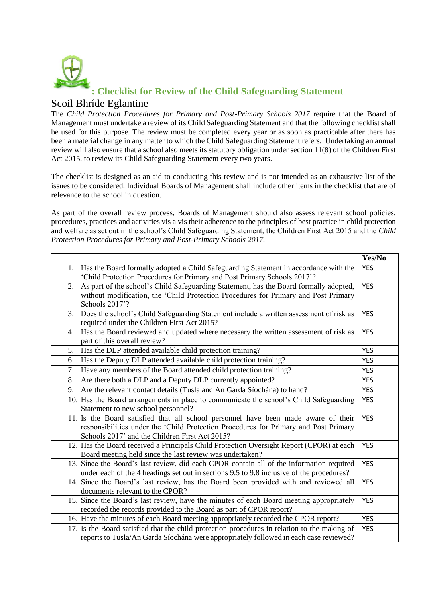

## **: Checklist for Review of the Child Safeguarding Statement**

## Scoil Bhríde Eglantine

The *Child Protection Procedures for Primary and Post-Primary Schools 2017* require that the Board of Management must undertake a review of its Child Safeguarding Statement and that the following checklist shall be used for this purpose. The review must be completed every year or as soon as practicable after there has been a material change in any matter to which the Child Safeguarding Statement refers. Undertaking an annual review will also ensure that a school also meets its statutory obligation under section 11(8) of the Children First Act 2015, to review its Child Safeguarding Statement every two years.

The checklist is designed as an aid to conducting this review and is not intended as an exhaustive list of the issues to be considered. Individual Boards of Management shall include other items in the checklist that are of relevance to the school in question.

As part of the overall review process, Boards of Management should also assess relevant school policies, procedures, practices and activities vis a vis their adherence to the principles of best practice in child protection and welfare as set out in the school's Child Safeguarding Statement, the Children First Act 2015 and the *Child Protection Procedures for Primary and Post-Primary Schools 2017.*

|                                                                                              | Yes/No     |
|----------------------------------------------------------------------------------------------|------------|
| 1. Has the Board formally adopted a Child Safeguarding Statement in accordance with the      |            |
| 'Child Protection Procedures for Primary and Post Primary Schools 2017'?                     |            |
| As part of the school's Child Safeguarding Statement, has the Board formally adopted,<br>2.  | <b>YES</b> |
| without modification, the 'Child Protection Procedures for Primary and Post Primary          |            |
| Schools 2017'?                                                                               |            |
| Does the school's Child Safeguarding Statement include a written assessment of risk as<br>3. | <b>YES</b> |
| required under the Children First Act 2015?                                                  |            |
| Has the Board reviewed and updated where necessary the written assessment of risk as<br>4.   | <b>YES</b> |
| part of this overall review?                                                                 |            |
| Has the DLP attended available child protection training?<br>5.                              | <b>YES</b> |
| Has the Deputy DLP attended available child protection training?<br>6.                       | <b>YES</b> |
| 7.<br>Have any members of the Board attended child protection training?                      | <b>YES</b> |
| Are there both a DLP and a Deputy DLP currently appointed?<br>8.                             |            |
| Are the relevant contact details (Tusla and An Garda Síochána) to hand?<br>9.                | <b>YES</b> |
| 10. Has the Board arrangements in place to communicate the school's Child Safeguarding       | <b>YES</b> |
| Statement to new school personnel?                                                           |            |
| 11. Is the Board satisfied that all school personnel have been made aware of their           | <b>YES</b> |
| responsibilities under the 'Child Protection Procedures for Primary and Post Primary         |            |
| Schools 2017' and the Children First Act 2015?                                               |            |
| 12. Has the Board received a Principals Child Protection Oversight Report (CPOR) at each     | <b>YES</b> |
| Board meeting held since the last review was undertaken?                                     |            |
| 13. Since the Board's last review, did each CPOR contain all of the information required     | <b>YES</b> |
| under each of the 4 headings set out in sections 9.5 to 9.8 inclusive of the procedures?     |            |
| 14. Since the Board's last review, has the Board been provided with and reviewed all         | <b>YES</b> |
| documents relevant to the CPOR?                                                              |            |
| 15. Since the Board's last review, have the minutes of each Board meeting appropriately      | <b>YES</b> |
| recorded the records provided to the Board as part of CPOR report?                           |            |
| 16. Have the minutes of each Board meeting appropriately recorded the CPOR report?           | <b>YES</b> |
| 17. Is the Board satisfied that the child protection procedures in relation to the making of | <b>YES</b> |
| reports to Tusla/An Garda Síochána were appropriately followed in each case reviewed?        |            |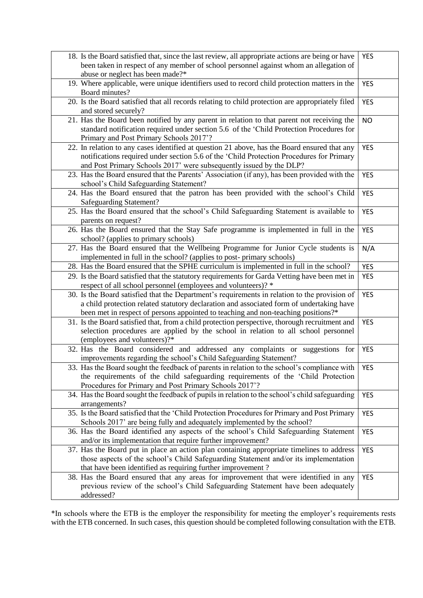| 18. Is the Board satisfied that, since the last review, all appropriate actions are being or have<br>been taken in respect of any member of school personnel against whom an allegation of                                                                                     | <b>YES</b> |
|--------------------------------------------------------------------------------------------------------------------------------------------------------------------------------------------------------------------------------------------------------------------------------|------------|
| abuse or neglect has been made?*<br>19. Where applicable, were unique identifiers used to record child protection matters in the<br>Board minutes?                                                                                                                             | <b>YES</b> |
| 20. Is the Board satisfied that all records relating to child protection are appropriately filed<br>and stored securely?                                                                                                                                                       | <b>YES</b> |
| 21. Has the Board been notified by any parent in relation to that parent not receiving the<br>standard notification required under section 5.6 of the 'Child Protection Procedures for<br>Primary and Post Primary Schools 2017'?                                              | <b>NO</b>  |
| 22. In relation to any cases identified at question 21 above, has the Board ensured that any<br>notifications required under section 5.6 of the 'Child Protection Procedures for Primary<br>and Post Primary Schools 2017' were subsequently issued by the DLP?                | <b>YES</b> |
| 23. Has the Board ensured that the Parents' Association (if any), has been provided with the<br>school's Child Safeguarding Statement?                                                                                                                                         | <b>YES</b> |
| 24. Has the Board ensured that the patron has been provided with the school's Child<br><b>Safeguarding Statement?</b>                                                                                                                                                          | <b>YES</b> |
| 25. Has the Board ensured that the school's Child Safeguarding Statement is available to<br>parents on request?                                                                                                                                                                | <b>YES</b> |
| 26. Has the Board ensured that the Stay Safe programme is implemented in full in the<br>school? (applies to primary schools)                                                                                                                                                   | <b>YES</b> |
| 27. Has the Board ensured that the Wellbeing Programme for Junior Cycle students is<br>implemented in full in the school? (applies to post-primary schools)                                                                                                                    | N/A        |
| 28. Has the Board ensured that the SPHE curriculum is implemented in full in the school?                                                                                                                                                                                       | <b>YES</b> |
| 29. Is the Board satisfied that the statutory requirements for Garda Vetting have been met in<br>respect of all school personnel (employees and volunteers)? *                                                                                                                 | <b>YES</b> |
| 30. Is the Board satisfied that the Department's requirements in relation to the provision of<br>a child protection related statutory declaration and associated form of undertaking have<br>been met in respect of persons appointed to teaching and non-teaching positions?* | <b>YES</b> |
| 31. Is the Board satisfied that, from a child protection perspective, thorough recruitment and<br>selection procedures are applied by the school in relation to all school personnel<br>(employees and volunteers)?*                                                           | <b>YES</b> |
| 32. Has the Board considered and addressed any complaints or suggestions for<br>improvements regarding the school's Child Safeguarding Statement?                                                                                                                              | <b>YES</b> |
| 33. Has the Board sought the feedback of parents in relation to the school's compliance with<br>the requirements of the child safeguarding requirements of the 'Child Protection<br>Procedures for Primary and Post Primary Schools 2017'?                                     | <b>YES</b> |
| 34. Has the Board sought the feedback of pupils in relation to the school's child safeguarding<br>arrangements?                                                                                                                                                                | <b>YES</b> |
| 35. Is the Board satisfied that the 'Child Protection Procedures for Primary and Post Primary<br>Schools 2017' are being fully and adequately implemented by the school?                                                                                                       | <b>YES</b> |
| 36. Has the Board identified any aspects of the school's Child Safeguarding Statement<br>and/or its implementation that require further improvement?                                                                                                                           | <b>YES</b> |
| 37. Has the Board put in place an action plan containing appropriate timelines to address<br>those aspects of the school's Child Safeguarding Statement and/or its implementation<br>that have been identified as requiring further improvement?                               | <b>YES</b> |
| 38. Has the Board ensured that any areas for improvement that were identified in any<br>previous review of the school's Child Safeguarding Statement have been adequately<br>addressed?                                                                                        | <b>YES</b> |

\*In schools where the ETB is the employer the responsibility for meeting the employer's requirements rests with the ETB concerned. In such cases, this question should be completed following consultation with the ETB.